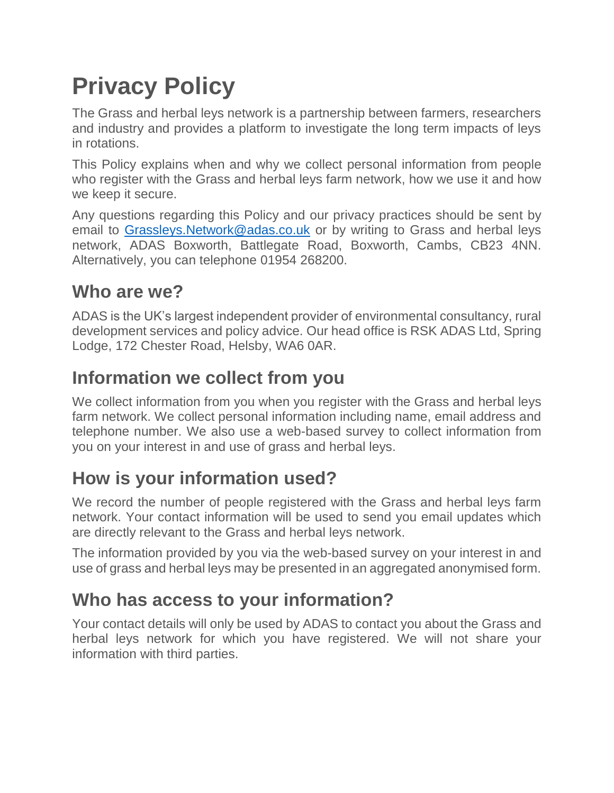# **Privacy Policy**

The Grass and herbal leys network is a partnership between farmers, researchers and industry and provides a platform to investigate the long term impacts of leys in rotations.

This Policy explains when and why we collect personal information from people who register with the Grass and herbal leys farm network, how we use it and how we keep it secure.

Any questions regarding this Policy and our privacy practices should be sent by email to Grassleys. Network@adas.co.uk or by writing to Grass and herbal leys network, ADAS Boxworth, Battlegate Road, Boxworth, Cambs, CB23 4NN. Alternatively, you can telephone 01954 268200.

### **Who are we?**

ADAS is the UK's largest independent provider of environmental consultancy, rural development services and policy advice. Our head office is RSK ADAS Ltd, Spring Lodge, 172 Chester Road, Helsby, WA6 0AR.

### **Information we collect from you**

We collect information from you when you register with the Grass and herbal leys farm network. We collect personal information including name, email address and telephone number. We also use a web-based survey to collect information from you on your interest in and use of grass and herbal leys.

## **How is your information used?**

We record the number of people registered with the Grass and herbal leys farm network. Your contact information will be used to send you email updates which are directly relevant to the Grass and herbal leys network.

The information provided by you via the web-based survey on your interest in and use of grass and herbal leys may be presented in an aggregated anonymised form.

# **Who has access to your information?**

Your contact details will only be used by ADAS to contact you about the Grass and herbal leys network for which you have registered. We will not share your information with third parties.